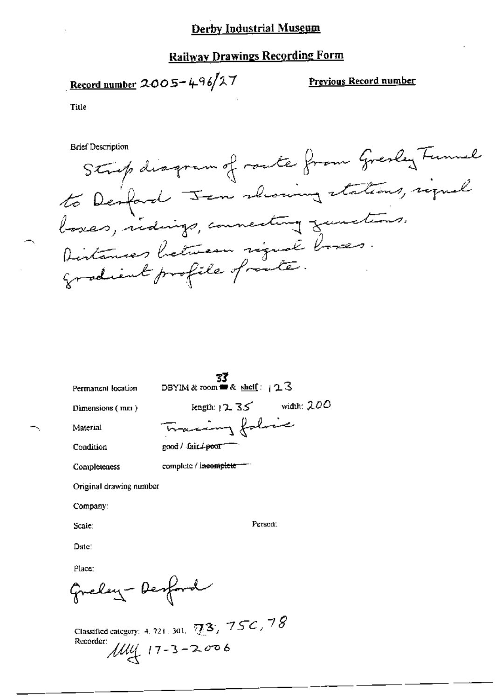# **Railway Drawings Recording Form**

$$
\underline{\text{Record number 2005} + 496/27}
$$

Previous Record number

Title

to red number 20<br>"Crief de<br>Denforme"<br>Denforme  $L$  Fen showing stations, signal

| Permanent location      | DBYIM & room $\equiv$ & shell: $123$ |
|-------------------------|--------------------------------------|
| Dimensions $(mn)$       | width: $200$<br>length: $12.35$      |
| Material                | accing folice                        |
| Condition               | good / fair <del>/ poo</del> r       |
| Completeness            | complete / incomplete                |
| Original drawing number |                                      |
| Company:                |                                      |
| Scale:                  | Person:                              |
| Date:                   |                                      |
| Place:                  |                                      |
| Greley-Dest             |                                      |
|                         |                                      |

Classified category: 4, 721, 301,  $\nabla$ 3/ 15-4, 79 Recorder:  $\mu$ ull  $\left(17 - 3 - 2006\right)$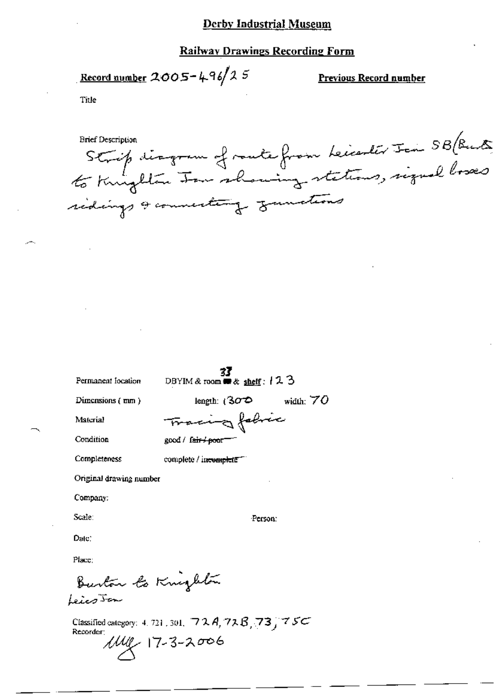#### **Railway Drawings Recording Form**

<u>Record number</u> 2005-496/25

Previous Record number

Title

Strip disgram of route from kinder Join SB (Buts sidings & connecting gametions

Permanent location

DBYIM & room # & shelf: 123

Dimensions  $(mn)$ 

width:  $70$ length:  $(302)$ 

Material

Condition

Tracing fabric good / f<del>air / poo</del>r

complete / incomplete<sup>--</sup>

Completeness

Original drawing number

Company:

Scale:

Person:

Date:

Place:

Burton to Knighton Leico Jan

Classified category: 4, 721, 301,  $72A, 72B, 73$ ,  $75C$ Recorder:  $1149 - 17 - 3 - 2006$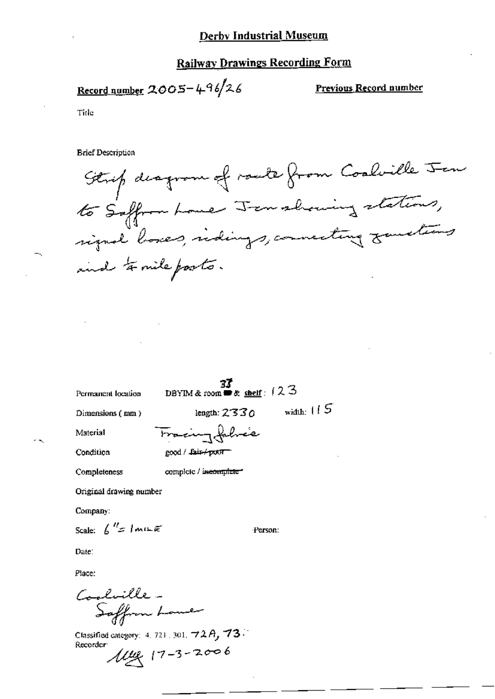### **Railway Drawings Recording Form**

Record number  $2005 - 496/26$ 

**Previous Record number** 

Tide

**Brief Description** 

Strip desprem of roads from Coolville Jen<br>to Saffron Loue Jen showing stations,<br>signal loses, ridings, connecting zametims and to mile posts.

Permanent location

 $\frac{37}{12}$ <br>DBYIM & room **=** & <u>shelf</u>: 123

Dimensions (mm)

length:  $2330$  width:  $115$ 

Material Condition

Fracing fabric good / fair+poor

Completeness

complete / incomplete\*

Original drawing number

Company:

Scale:  $\int_0^{H} f$  /  $m \in \mathbb{R}$ 

Person:

Date:

Place:

Coolville-Saffrom Lome

Classified category:  $4, 721, 301, 72A, 73.$ Recorder:  $\mu$ ug 17-3-2006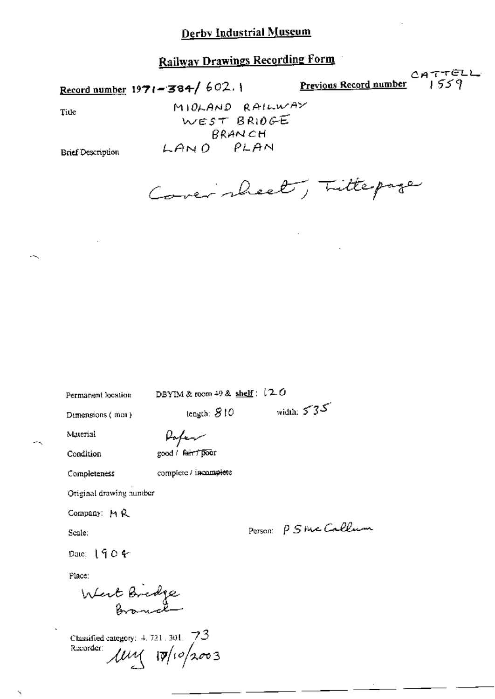Record number 1971-384/602.1

 $CATTELL$ <br>1559 Previous Record number

Title

 $\sim$ 

MIOLAND RAILWAY WEST BRIOGE BRANCH LAND PLAN

**Brief Description** 

Cover sheet, Littepage

Permanent location

DBYIM & room 49 & shelf:  $12.0$ 

length:  $810$ 

Dimensions (mm)

Pofer

Condition

Material

good / fair / poor

Completeness

complete / incomplete

Original drawing number

Company: MR

Scale:

Person P 5 rue Callum

width:  $535$ 

Date:  $1904$ 

Place:

West Bridge

Classified category:  $4.721.301.73$  $\mu$  10/10/2003 Recorder: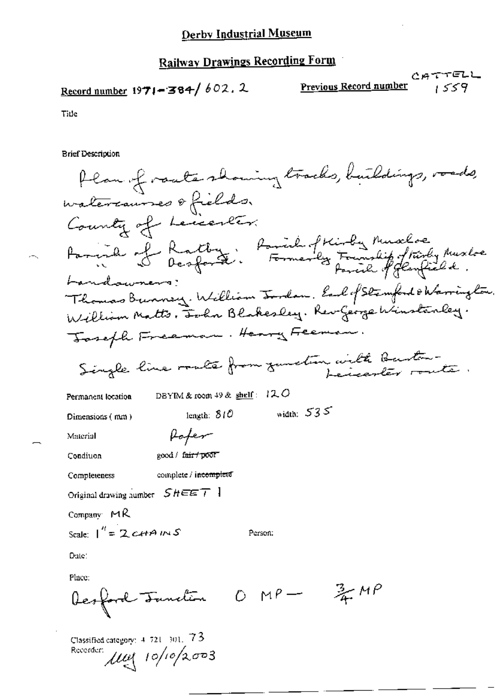Record number 1971-384/602.2

Recorder:  $\mu$ u 10/10/2003

CATTELL Previous Record number 1559

Title

**Brief Description** 

Plan of roate showing tracks, buildings, roads, watercauses ofields. County of Leicenter. Fargina of Rathey, Parish of Kirky Muscles Landawners: Thomas Bunney. William Inden. Earl of Stemford & Warrington. William Matts, Forhn Blakesley. Rev George Winstanley. Joseph Freeman. Henry Feeman Single line route from zunden with Buston-DBYIM & room 49 &  $\frac{\text{shell}}{2}$ : 12.0 Permanent location width:  $535$ length:  $810$ Dimensions (mm) Rofer Material good / fair / poor Condiuon complete / incomplete Completeness Original drawing number  $SHEET$  ] Company  $MR$ Scale:  $1'' = 2$  cetAINS Person: Date: Place:  $0 M P \frac{3}{4}MP$ Desford Tunction Classified category: 4-721-301, 73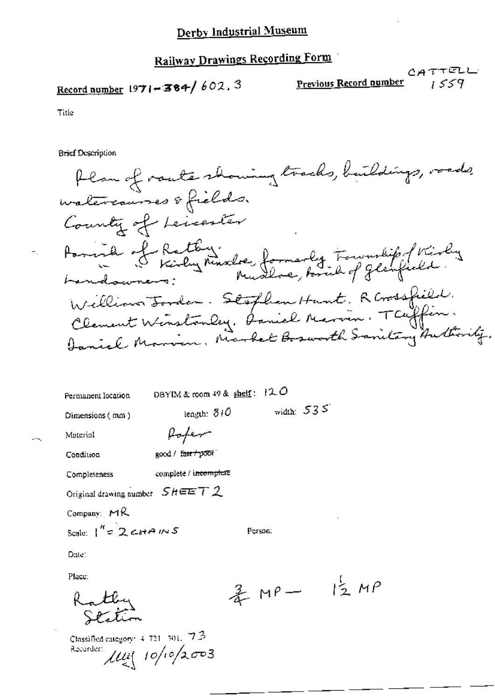# Record number 1971-384/602.3

Previous Record number

Title

**Brief Description** 

Plan of router showing tracks, buildings, roads watercourses of fields. County of Leicenter Paris de Rathy Musica formarly Township of Kirky Landswiens: William Jordan. Stoflen Hunt. R Gossfield. Clement Winstanley. Daniel Marvin. TCUffin. Ianich Marvin, Market Bosworth Sanitary Authority.

| nent location. | DBYIM & coom 49 & shelf: $120$ |  |  |
|----------------|--------------------------------|--|--|
|                |                                |  |  |

length: 310

Dimensions (mm)

width:  $535$ 

Person:

Materiol

Perma.

Pofer good / farr+poor Condition

complete / incomplete Completeness

Original drawing number  $S$   $H \equiv E T 2$ 

Company:  $MR$ 

Scale:  $1^{\prime\prime}$  = 2 c+ A IN S

Date:

Place:

Kathy

Classified category:  $4.724$   $(301, 72)$ Recorder:  $\mu$ u  $10/10/2003$ 

 $12MP$ 杀叫一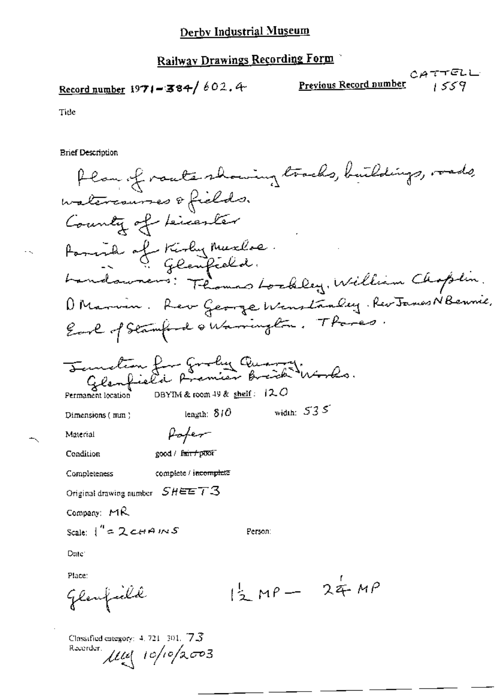Record number 1971-384/602.4

$$
\underbrace{\text{C} \, \text{A} \, \text{T} \, \text{T} \, \text{C} \, \text{L}}_{\text{1 S} \, \text{S} \, \text{V}}
$$

Tide

÷.

≺

**Brief Description**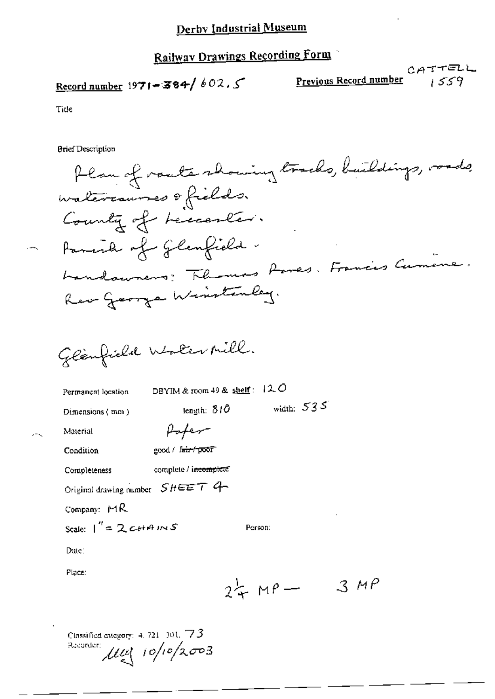Record number 1971-384/602.5

 $CATTELL$ Previous Record number  $559$ 

Tide

**Brief Description** 

Original drawing number  $SHEET$  4

Pofer

complete / incomplete

good / fair / poor

Permanent location

DBYIM & room 49 & shelf:  $12.0$ 

Dimensions (mm)

Material

Condition

Date:

Place:

Completeness

Company: MR

Scale:  $1'' = 2$  cottains S

Classified entegory:  $4.721 \cdot 301.773$ 

 $\mu$  (10/10/2003

width:  $535$ length:  $810$ 

Person:

 $24MP -$ 

 $3MP$ 

 $\sim$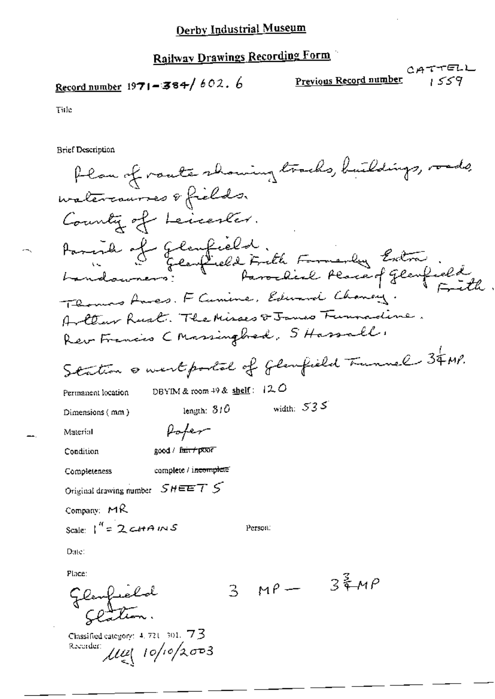Record number 1971-384/602.6

CATTELL<br>Previous Record number 1559

Title

**Brief Description** 

| flan of route showing tracks, buildings, roads,                            |
|----------------------------------------------------------------------------|
| watercourses & fields.                                                     |
| County of Leicenter.                                                       |
| Parish of Glanfield.<br>La Glanfield Frith Family Extra                    |
| Fith                                                                       |
| Thomas Ames. F Cumine, Edward Chancey.                                     |
| Artter Rust. The Misses & James Funnadine.                                 |
| Rev Francis C Massingbood, S Hassall,                                      |
| Station & westportal of flanfield Tunnel 34MP.                             |
| DBYIM & room $+9$ & shelf: $12.0$<br>Permanent location                    |
| width: $535$<br>length: $310$<br>Dimensions (mm)                           |
| Poper<br>Material                                                          |
| good/f <del>aic/p</del> cco7<br>Condition                                  |
| complete / i <del>ncomplete</del><br>Completeness                          |
| $S$ HEE $T$ $S$<br>Original drawing number                                 |
| Company: MR                                                                |
| Scale: $1^{\prime\prime}$ = 2 catains<br>Person:                           |
| Date:                                                                      |
| Place:<br>$3\frac{2}{3}MP$                                                 |
| $MP -$<br>3<br>Glenfrehol<br>Clatton,                                      |
| Classified category: $4, 721, 301, 73$<br>Recorder:<br>$\mu$ ul 10/10/2003 |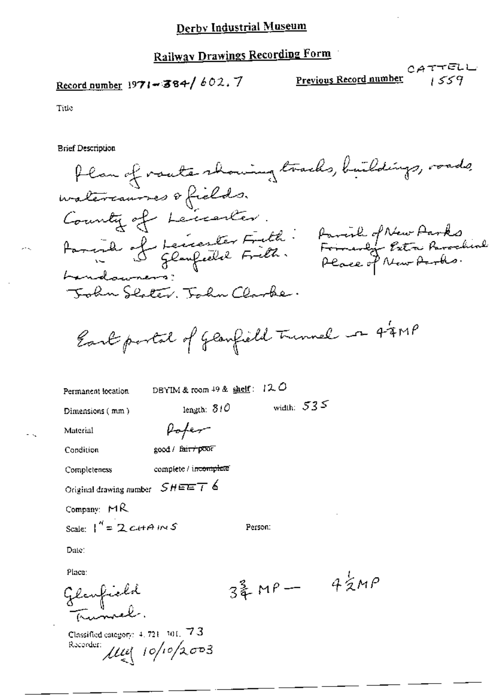Record number 1971-384/602.7

CATTEL<br>Previous Record number

Tide

**Brief Description** 

flan of vaute showing tracks, buildings, roads, watercannes ofields. County of Leicenter. Farcial of Leicenter Fieth: Parcil of New Parks<br>Farcial of Leicenter Fieth. Formandy Pitre Parachine Landnon Tokn Slater. Tokn Clarke.

Eart portal of Glanfield Turnal on 44MP

DBYIM & room 49 & shelf: 120 Permanent location width:  $535$ length: 310 Dimensions (mm) Pofer Material good / fair+poor Condition complete / incomplete Completeness Original drawing number  $SHEET$  6 Company:  $MA$ Scale:  $1^4$  = 2 c+ A IN S Person: Date: Place:  $4\frac{1}{2}MP$  $347 -$ Glaufield<br>Tumvel.

Classified category:  $4, 721, 301, 773$ Recorder:  $\mu_{\xi}$  10/10/2003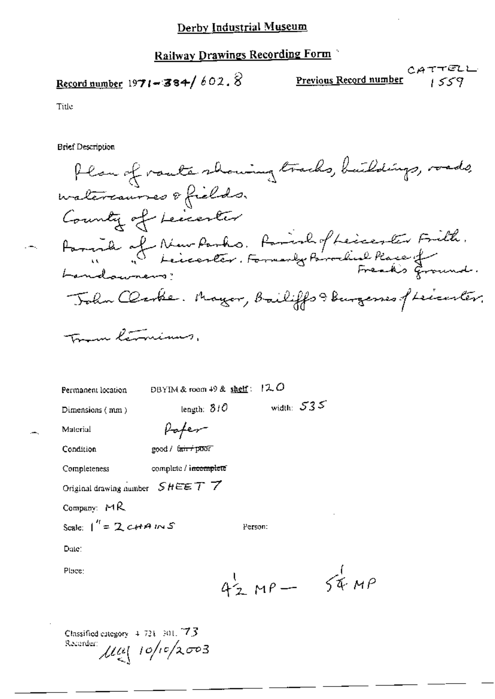# Railway Drawings Recording Form

# Record number 1971-384/602.8

CATTELL<br>Previous Record number  $C$ 

Title

**Brief Description** 

Plan of route showing tracks, buildings, roads, watercaurses & fields. County of Leicenter Parend of New Parks. Parish of Leicester Frith.<br>Landauneur: Landowners? John Clarke. Mayor, Bailiffs & Burgerses of Leicenter.

Toman lemaninus.

| Permanent location                | DBYIM & room $49$ & shelf: $120$ |                 |  |
|-----------------------------------|----------------------------------|-----------------|--|
| Dimensions (mm)                   | length: 310                      | width: $535$    |  |
| Material                          |                                  |                 |  |
| Condition                         | good / tan+poor                  |                 |  |
| Completeness                      | complete / incomplete            |                 |  |
| Original drawing number $SHEET$ 7 |                                  |                 |  |
| Company: $MR$                     |                                  |                 |  |
| Scale: $1'' = 2$ c+ A IN S        |                                  | Person:         |  |
| Date:                             |                                  |                 |  |
| Place:                            |                                  |                 |  |
|                                   |                                  | $42 MP - 54 MP$ |  |
|                                   |                                  |                 |  |
|                                   |                                  |                 |  |

Classified category 4-721-301, 73 Recorder:  $\mu_{\leq 1}$  10/10/2003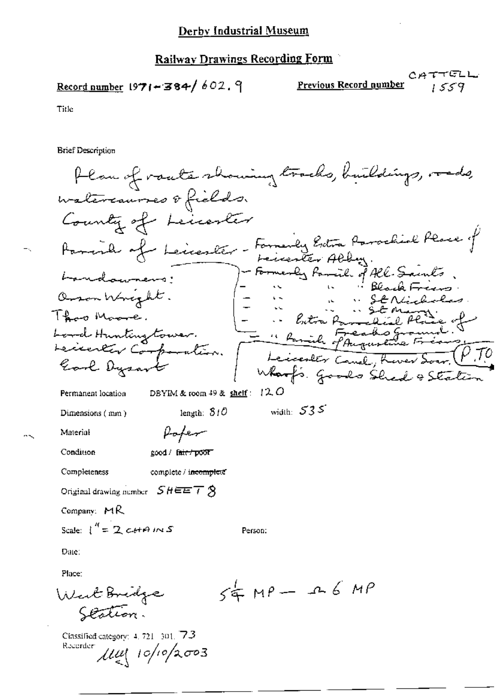Record number 1971-384/602.9

Previous Record number

CATTELL 1559

Title

**Brief Description** 

Plan of roate showing tracks, buildings, roads, watercaurses & fields. County of Leicenter Parish of Leicesler - Formerly Extra Parachial Place of - Formerly Par -ïl. of All-Samts bandaumens: Orson Wright. Theo Masse Lord Hunting tower. - " Ramile of Auguste Lecenter Corp icester Canal, Good Dysar Where Goods Shed & State DBYIM & room  $49$  & shelf:  $12$  O Permanent location width:  $535$ length:  $310$ Dimensions (mm) Poper Material Condition good / fair / poor Completeness complete / incomplete Original drawing number  $SHEET$   $\hat{\beta}$ Company: MR Scale:  $\int_1^R = 2cH + 2mS$ Person: Date: Place:  $54 \mu P - 26 \mu P$ West Bridge Scation. Classified category: 4, 721-301, 73 Recorder  $\mu$ ul 10/10/2003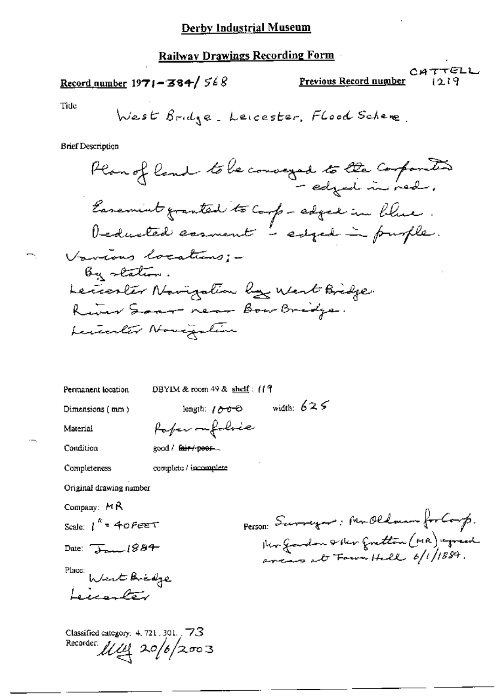#### Railway Drawings Recording Form

## Record number  $1971 - 384 / 568$

CATTELL Previous Record number

Tide

**Brief Description** 

Permanent location

DBYIM & room 49 & shelf: (19

length:  $1000$  width:  $625$ 

Dimensions (mm)

Material

Paper on folice

Condition

Completeness

good / fair / peor.

complete / incomplete

Original drawing number

Company:  $M \mathsf{R}$ 

Scale:  $1^{k}$  = 40 Fee T

Date:  $\overline{\downarrow}_{\text{max}}$ 1884

Place: Went Bridge Licenter

Classified category: 4, 721, 301, 73 Recorder  $11/12$  20/6/2003

Person: Surveyor, Mr.Oldman for Corp.<br>Her Goodon & Her Gretton (1918) egreed<br>are as at Four Hall 6/1/1884.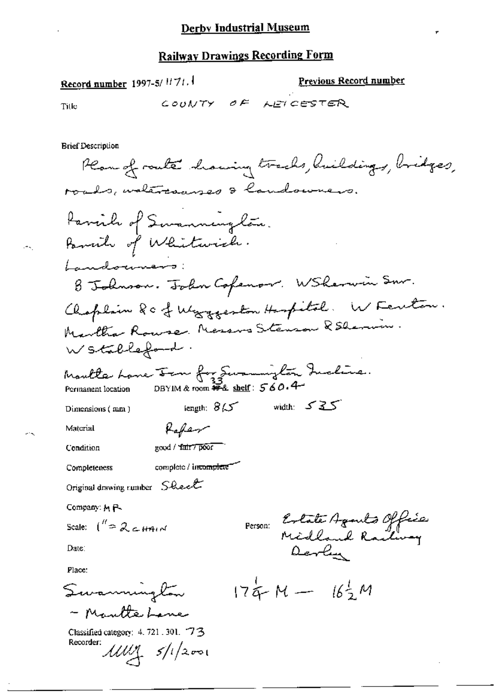Record number 1997-5/1171.

Previous Record number

Title

COUNTY OF LEICESTER

**Brief Description** 

Plan of route having tracks, huildings, bridges, roads, watercauses & landowners. Parcile of Swanning lão. Pancile of Whitwich. Landouners B Johnson. John Cofenov. WSherwin Snr. Chaplain Rc & Wargeston Haspital. W Ferton. Martha Rouse Messus Steuson & Sherin. Wstableford. Moulte Lane From for Summiglan Incline.<br>Permanent location DBYIM&room #4 shelf: 560.4 length;  $85$  width:  $525$ Dimensions (mm) Raffer Material good / fair / poor Condition complete / incomplete Completeness Original drawing number Sheet Company: M P-Person: Estate Agents Office Scale:  $\int_{0}^{\pi} \sqrt{2} \cos \theta$ Date: Place:  $174M - 162M$ Swamnington - Mautte Lene Classified category: 4, 721, 301, 73 Recorder:  $\mathcal{U}\mathcal{U}\mathcal{Y}$   $s/l/2001$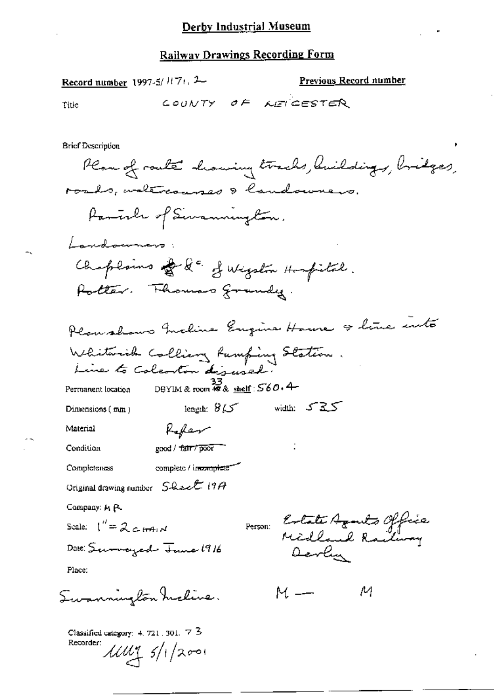Record number 1997-5/ $H$ 7 $t$ , 2

 $\mathcal{L}$  0

Previous Record number

Title

**Brief Description** 

Plan of route howing tracks, huildings, bridges, roads, waltreamses & landowners. Partile of Sivannington. Landoumers: Chaplains of & d' of Wigston Hospital. Potter. Thomas grandy. Planshows Incline Engine House & line into Whitwish Colling Rumfing Station. DBYIM & room #2 & shelf:  $560.4$ Permanent location length:  $8/5$  width:  $525$ Dimensions  $(mn)$ Refer Material good / fair / poor Condition complete / incomplete Completeness Original drawing number  $S$ -Reef 19 $A$ Company: M P. Person: Estate Agents Office Scale:  $\int_{0}^{\pi} = 2c \cos \theta$ Date: Surveyed June 1916 Devlin Place:  $M$   $-$ Summington maline. М Classified category: 4, 721, 301, 7 3 Recorder:  $111175/1/2001$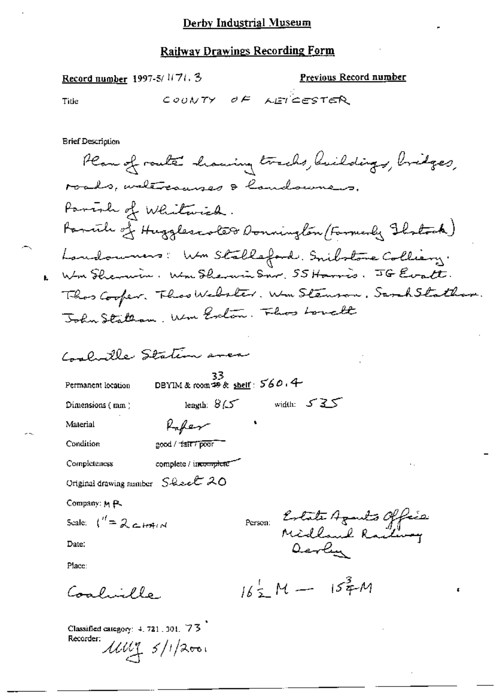| Previous Record number<br>Record number 1997-5/1171.3               |
|---------------------------------------------------------------------|
| COUNTY OF<br>AET CESTER<br>Title                                    |
|                                                                     |
| Brief Description                                                   |
| Plan of route having tracks, huildings, bridges,                    |
| roads, untercauses & landowners.                                    |
| Parish of Whitwich.                                                 |
| Pannile of Hugglescole@ Donnington (Farmerly Ibstrak)               |
| Laudoumers: Wm Stalleford. Snibstone Colliery.                      |
| 1. Wm Shemmin. Wm Shemmin Snr. 55 Harris. JG Evatt.                 |
| Theos Cooper. Theos Webster. We Stemson. Sank Stathan.              |
| John Statesm, Um Exton, Fluos Lowell                                |
|                                                                     |
| Coolwille Station aver                                              |
| DBYIM & room #9 & shelf: 560, 4<br>Permanent location               |
| length: $8/5$ width: $525$<br>Dimensions (mm)                       |
| Rafer<br>Material                                                   |
| Condition<br>good / fair / poor                                     |
| Completeness<br>complete / incomplete"<br>٠.                        |
| Original drawing number $S$ -hec <sup>t</sup> 20                    |
| Company: M.P.                                                       |
| Parson: Estate Agants Office<br>Scale: $\binom{n}{k} = 266$ C HAI M |
| Date:<br>Devlin                                                     |
| Place:                                                              |
| $16\frac{1}{2}$ M - $15\frac{3}{4}$ M<br>ه ما لاينه لوسه<br>t       |
|                                                                     |

Classified category: 4, 721, 301, 73 Recorder:  $\mu$  $\mu$   $\leq$  /1/2001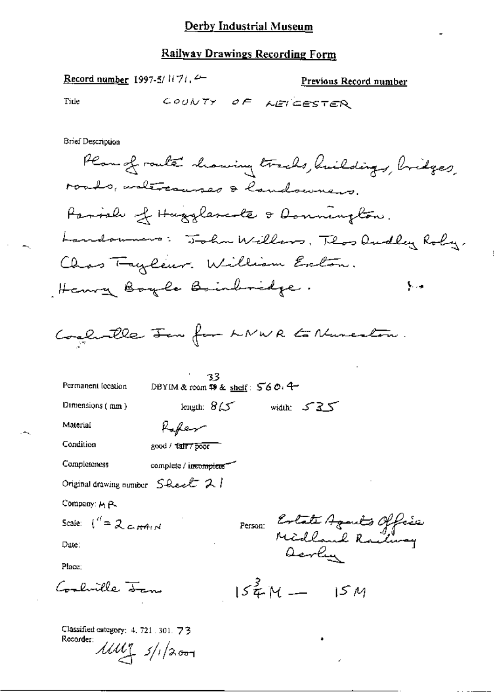Record number 1997-5/1(7), 4

Previous Record number

Title

COUNTY OF AETERSTER

**Brief Description** 

| Permanent location                                                     | کر ک<br>DBYIM & room \$9 & <u>sheif</u> : 560, 4 <del>-</del> |
|------------------------------------------------------------------------|---------------------------------------------------------------|
| Dimensions $($ mm $)$                                                  | width: $535$<br>length: $8\sqrt{5}$                           |
| Material                                                               | Refer                                                         |
| Condition                                                              | good / tair / poor                                            |
| Completeness                                                           | complete / incomplete                                         |
| Original drawing number $S$ -lee $\mathcal{L}$ 2.1                     |                                                               |
| Company: M.P.                                                          |                                                               |
| Scale: $\int_{0}^{t} = 2 \int_{0}^{t} H(t) dt$                         | Person: Extate Agants Office                                  |
| Date:                                                                  | acrlin                                                        |
| Place:                                                                 |                                                               |
| -luille <del>Sen</del>                                                 | $154M -$<br>15M                                               |
| Classified category: 4, 721, 301, 73<br>Recorder:<br>$11117$ $5/12001$ |                                                               |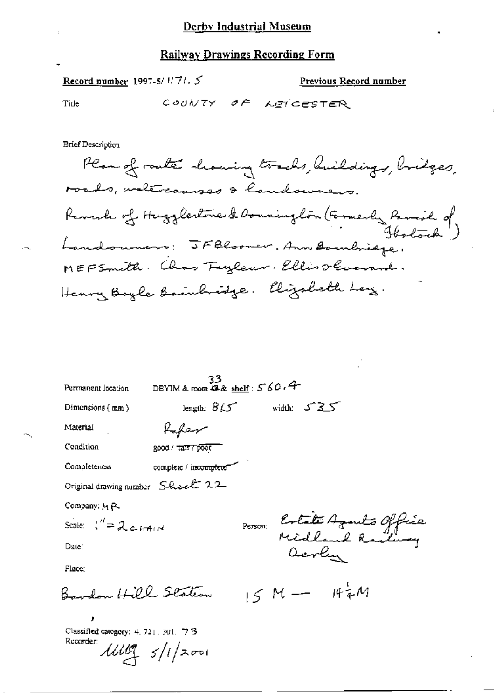Record number 1997-5/ $1171.5$ 

Previous Record number

Tide

COUNTY OF LEICESTER

**Brief Description** 

Plan of route showing tracks, huildings, bridges, roads, waltraanses & handourers. Revisible of Hugglestone & Donnington (Formerly Parail of Landonners: JFBloomer. Ann Bombindge. MEFSmith. Chas Fuzleur. Ellis Stevense. Henry Boyle Bainhoise. Elizabeth Ley.

| Permanent location                                     | 33<br>DBYIM & room $49$ & shelf: $560.4$ |              |                              |  |
|--------------------------------------------------------|------------------------------------------|--------------|------------------------------|--|
| Dimensions $\{mm\}$                                    | length: $8/5$                            | width: 535   |                              |  |
| Material                                               | Kafer                                    |              |                              |  |
| Condition                                              | good / fair7 poor                        |              |                              |  |
| <b>Completeness</b>                                    | complete / incomplete"                   |              |                              |  |
| Original drawing number Shock 22                       |                                          |              |                              |  |
| Company: M R.                                          |                                          |              |                              |  |
| Scale: $\binom{1}{2}$ contains                         |                                          |              |                              |  |
| Date:                                                  |                                          |              | Person: Estate Agents Office |  |
| Place:                                                 |                                          |              |                              |  |
| Bardon Hill Station                                    |                                          | $15M - 144M$ |                              |  |
| ,<br>Classified category: 4, 721, 301, 73<br>Rucorder: | 111197/1/2001                            |              |                              |  |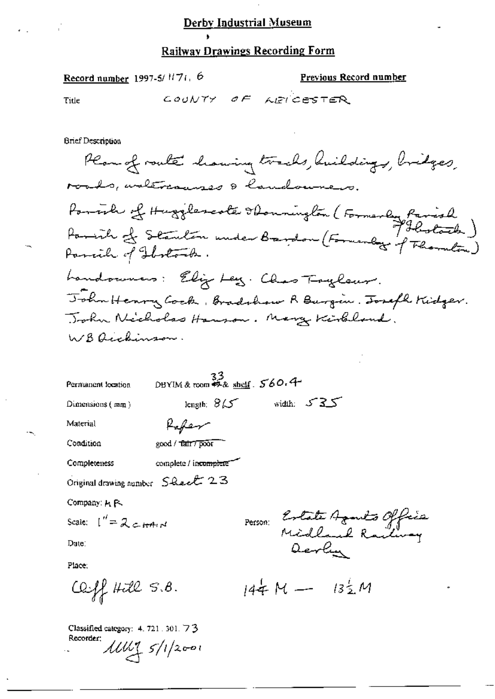#### **Railway Drawings Recording Form**

Record number 1997-5/ $1177$ , 6

Previous Record number

Title

COUNTY OF LEICESTER

**Brief Description** 

Plan of route having tracks, huildings, bridges, roads, untercanzes & landouners. rouds, annuale abonnington (Formerly Parish) Parish of Stanlen under Bardon (Forwardog of Thomaton) Parcile of Hostock. handowners: Elig Ley. Chas Tryleur. John Henry Cock, Bradshow R Burgin. Joseph Kidger. John Nicholas Hanson. Mary Kirkland. WB Auchinson.

| Permanent location | $33$<br>DBYIM & room $4.3$ shelf $560.4$ |  |              |  |
|--------------------|------------------------------------------|--|--------------|--|
| Dimensions $(mn)$  | length: $8\sqrt{ }$                      |  | width: $535$ |  |
| Material           | Refer                                    |  |              |  |

Condition

Completeness

complete / incomplete

good / tair7 poor

Original drawing number Sheet 23

Company: H P.

Scale:  $\int_{0}^{t} = 2c \sin 4\pi t$ 

Date:

Place:

 $C2ff$  Hill  $S.8$ .

Classified category: 4, 721, 301, 73 Recorder:  $11111 5/1/2001$ 

Person: Estate Agents Office

 $144M - 132M$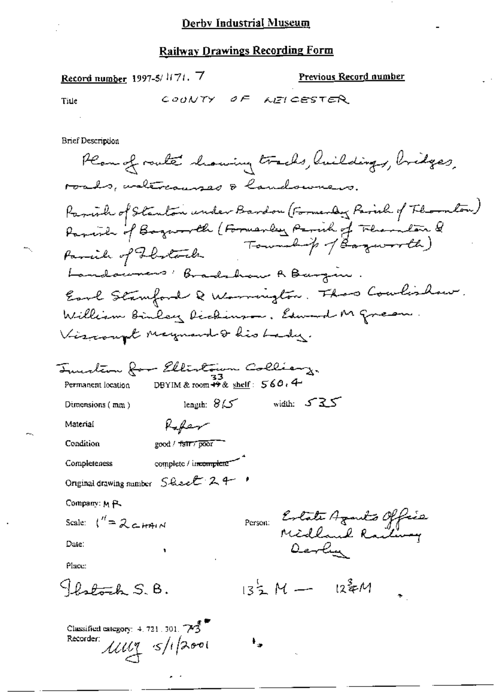Record number 1997-5/1171. 7 Previous Record number COUNTY OF AEICESTER Title **Brief Description** Plan of route howing tracks, hildings, bridges, roads, waltrauses & landowners. Parish of Stanton under Bardon (Formerly Parish of Floraton)<br>Parish of Bogarrell (Formerly Parish of Fluenton &<br>Parcil of Flutoch Parcile of Flootach Landowners: Bradshaw A Bargin Earl Stamford Q Warrington. Thas Coulishow. William Binley Dichinson, Edward M Green. Viscount may now dis bady. Tuestion for Ellistown Collianz. DBYIM & room  $\frac{2}{12}$ & shelf:  $560.4$ Permanent location width:  $525$ length:  $8/5$ Dimensions  $(mn)$ Rofer Material good / fair / poor Condition complete / incomplete Completeness Original drawing number Sheet 24 Company: M P. Person: Estate Agents Office Scale:  $\int_0^{\prime\prime} = 2c$   $\epsilon$  HAIN Derly Date: Place: Photogh S.B.  $135 M - 122 M$ Classified category:  $4, 721, 301, \overbrace{\smash{\bigtriangledown\!\mathfrak{F}}}^{\mathbin{\overline{\mathfrak{F}}}}$ Recorder:  $11117 \times 112001$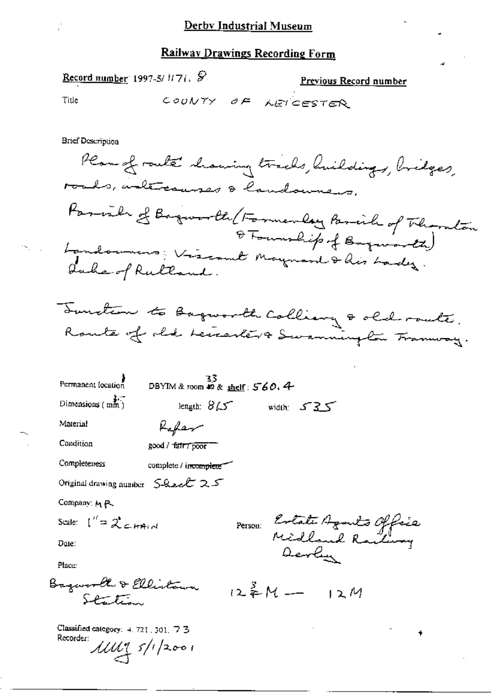Record number 1997-5/1171, §

Previous Record number

Title

COUNTY OF NETCESTER

**Brief Description** 

Plan of route chairing tracks, huildings, bridges, roads, intersenses & landowners. Parish of Baguarde (Formerly Brick of Thomaston O Tourship of Bayworks) Landounces; Viscout Maynard & his Lady. Qube of Ruttond.



| Permanent location                                                 | 33<br>DBYIM & room $\triangle$ & shelf: $560.4$ |         |                                                  |  |
|--------------------------------------------------------------------|-------------------------------------------------|---------|--------------------------------------------------|--|
| $D$ imensions (mm)                                                 | length: $8\sqrt{2}$                             |         | width: $535$                                     |  |
| Material                                                           | Kefar                                           |         |                                                  |  |
| Condition                                                          | good / fair7 poor                               |         |                                                  |  |
| Completeness                                                       | complete / incomplete                           |         |                                                  |  |
| Original drawing number $S$ -hear $Z \subset$                      |                                                 |         |                                                  |  |
| Company: M.P.                                                      |                                                 |         |                                                  |  |
| Scale: $\int_{0}^{t} = 2 \zeta \zeta + 4 \pi t$                    |                                                 | Person: |                                                  |  |
| Date:                                                              |                                                 |         | Ertate Agants Office<br>Midland Railway<br>Derly |  |
| Place:                                                             |                                                 |         |                                                  |  |
| Bagworth & Ellistann<br>Starting                                   |                                                 |         | $12^{3}M-12M$                                    |  |
| Classified category: 4, 721, 301, 73<br>Recorder:<br>11111 5/12001 |                                                 |         |                                                  |  |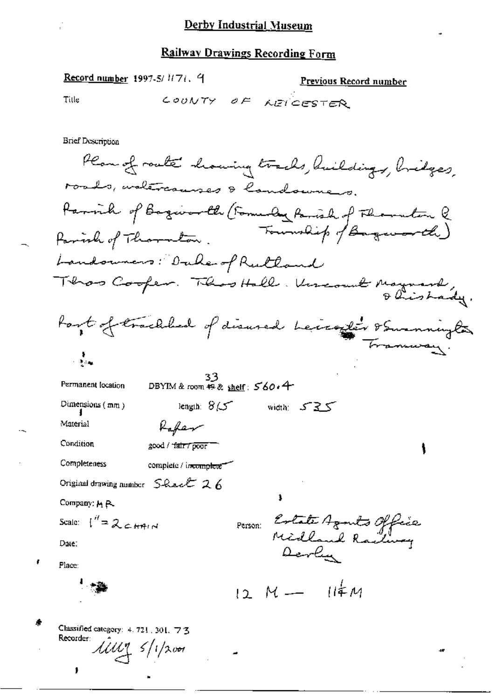Record number 1997-5/1171. 9 <u>Previous Record number</u> COUNTY OF LEICESTER Tille **Brief Description** Plan of route showing tracks, huildings, bridges, roads, waltrauses & landoumers. Parvil of Bagivardle (Formedy Parish of Florenton & Parish of Thornton. Landowners: Dale of Rulland Thros Cooper. This Hall. Uncount Maynard, Port of trackled of disured beixagler & Swamningles ः है।<br>तर्हत∞ DBYIM & room  $\overline{49}$ & shelf:  $560.4$ Permanent location length:  $8/5$  width:  $535$ Dimensions  $(mn)$ Rafter Material Condition good / "fair / poor = Completeness complete / incomplete Original drawing number  $S$ -Recht  $26$ Company: MR Person: Estate Agents Office Scale:  $\int_1^H = 2 \epsilon H n M$ Date: Devly Place:  $12 M - 114 M$ Classified category:  $4.721, 301, 723$ Recorder:  $\mathcal{U}\mathcal{U}\mathcal{U}$  5/1/2001

 $\mathbf{I}$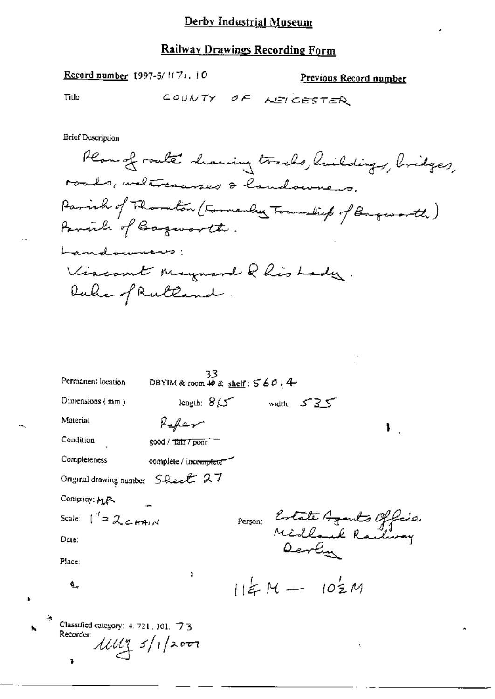Record number 1997-5/1171. 10 Previous Record number COUNTY OF AETCESTER Title **Brief Description** Plan of route having tracks, huildings, bridges, roads, walercourses & landowners. Parish of Thombon (Formerly Township of Baguarth)

Vircount maynard Rhis Lady.

Family of Bagavarth.

Duhe of Rutland.

Landonners:

| Permanent location                                                      | 33<br>DBYIM & room $48 \times \text{shelf}: 560.4$ |               |                               |
|-------------------------------------------------------------------------|----------------------------------------------------|---------------|-------------------------------|
| Dimensions $(mn)$                                                       | length: $8/5$                                      | width: $535$  |                               |
| Material                                                                | Kafan                                              |               | ı                             |
| Condition                                                               | good / tair / poor                                 |               |                               |
| Completeness                                                            | complete / incomplete                              |               |                               |
| Original drawing number Sheet 27                                        |                                                    |               |                               |
| Company: MR                                                             |                                                    |               |                               |
| Scale: $\int_{0}^{t} = 2cH_{A}dx$                                       |                                                    |               | Person: Estate Azants Officia |
| Date:                                                                   |                                                    | Devlin        |                               |
| Place:                                                                  |                                                    |               |                               |
| ۹.,                                                                     | r.                                                 | $114M - 102M$ |                               |
| Classified category: 4, 721, 301, 73<br>Recorder:<br>$1111 - 5/1$ /2001 |                                                    |               | ť.                            |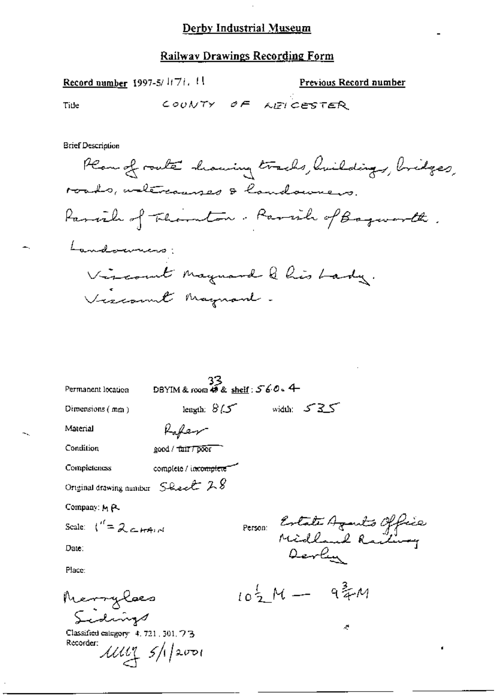#### Railway Drawings Recording Form

Previous Record number

Record number 1997-5/ $1/7i$ , !!

COUNTY OF MEICESTER Title **Brief Description** Plan of route showing tracks, huildings, bridges, roads, welercanses & handowners. Parcile of Thouton. Parcile of Baguarth. Landonnino: Vircount Maynard & his Lady. Viscount Maynon . 33

| Permanent location                                      | DBYIM & room $45$ & shelf: $560 - 4$                                |               |                             |  |
|---------------------------------------------------------|---------------------------------------------------------------------|---------------|-----------------------------|--|
| Dimensions $(mn)$                                       | leagth: $8/5$ width: $525$                                          |               |                             |  |
| Material                                                | Kafeer                                                              |               |                             |  |
| Condition                                               | good / tair / poor                                                  |               |                             |  |
| <b>Completeness</b>                                     | complete / incomplete"                                              |               |                             |  |
| Original drawing number $S$ -Lee $\ell$ $LS$            |                                                                     |               |                             |  |
| Company: M.P.                                           |                                                                     |               |                             |  |
| Scale: $\binom{n}{k} = 2 \epsilon_{k} + 4 \epsilon_{k}$ |                                                                     |               | Person Estate Agents Office |  |
| Date:                                                   |                                                                     | Devlin        |                             |  |
| Place:                                                  |                                                                     |               |                             |  |
| Merrylæs<br>Sidnigs                                     |                                                                     | 10至 14 - 9年14 |                             |  |
|                                                         |                                                                     |               | $\mathcal{L}$               |  |
| Classified category 4, 721, 301, 7 3<br>Recorder:       |                                                                     |               |                             |  |
|                                                         | $\mu$ $\mu$ $\frac{1}{2}$ $\frac{1}{2}$ $\frac{1}{2}$ $\frac{1}{2}$ |               |                             |  |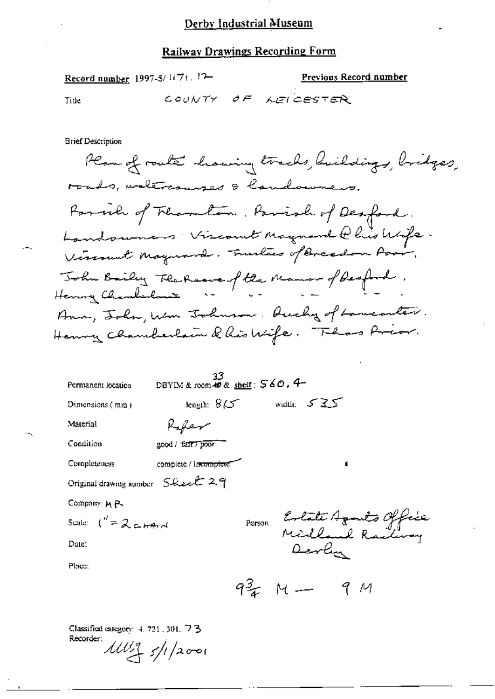#### **Railway Drawings Recording Form**

Record number 1997-5/1171. 12-Previous Record number COUNTY OF NEICESTER Title **Brief Description** Plan of route howing tracks, huildings, bridges, roads, arteriouses & landounces. Farmer of Thambon. Parish of Desfand. Landowners Viscount Maynard @ his Wife. Vircount Maynard. Trustees of Breedon Poor, John Bailey Flahaave of the Mamor of Desford. Ann, John, Wm Johnson. Ducky of Lancanter. Henry Chamberlain Q his Wife. Fhas Prior.  $\frac{33}{2}$ DBYIM & room 40 &  $\frac{\text{shelf}}{2}$ : 560.4 Permanent location length:  $8\sqrt{5}$  width:  $5\sqrt{35}$ Dimensions (mm) Material Rafer Condition good / tair / poor Completeness complete / incomplete Original drawing number Sleect 29 Company: M P. Person Estate Aquits Office<br>Midland Radway<br>Aevely Scale:  $\int_0^R = 2c \pm \pi r d$ Date: Place: 9 = M - 9 M

Classified category: 4, 721, 301, 73 Recorder:  $11111 + 51/12001$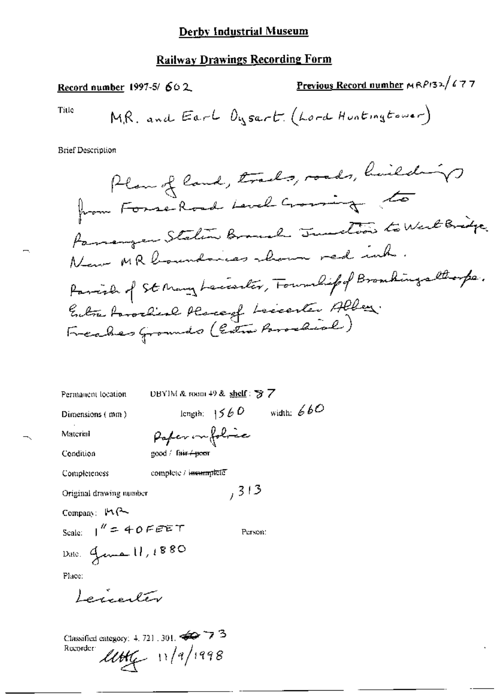#### **Railway Drawings Recording Form**

Previous Record number MRP132/677 Record number 1997-5/602 MR. and Earl Dysart. (Lord Huntingtower) Title **Brief Description** Plan of land, trades, roads, hailed in from Forse-Road Level Crossing to Paramonyen Station Branch Junction to West Bridge. Now MR boundaries shown red inh. Parcish of St Many Leccenter, Foundif of Branchings thorps. Entra Parocheal Place of Leccenter Alber. Freakes Grounds (Entre Paradial)

DBYIM & room 49 & shelf :  $\frac{1}{2}$  7 Permanent location length:  $1560$  width:  $660$ Dimensions (mm) Paper infolice Material good / fair + poor Condition Completeness complete / incomplete  $, 313$ Original drawing number Company:  $M$  $\sim$ Scale:  $\frac{1}{2}$  = 40 FEET Person: Dite: Jenna 11, 1880 Place: Lerinaler

Classified category: 4, 721, 301,  $\iff$  7.3 Recorder:  $l l l l l f$  11/9/1998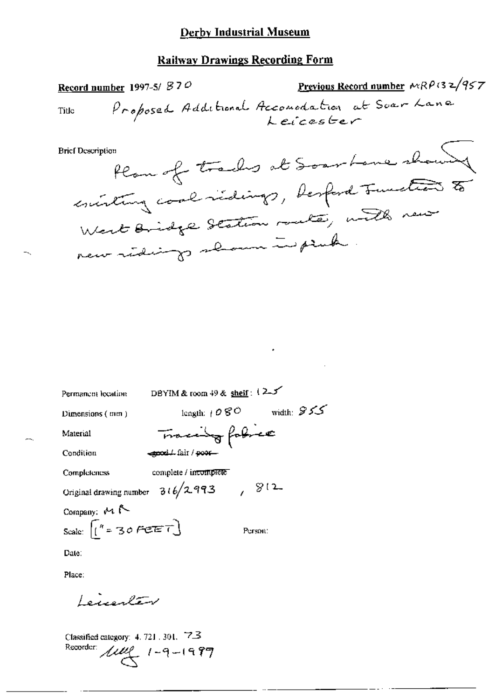### Railwav Drawings Recording Form

Record number 1997-5/  $870$  Previous Record number MRPG 2/957 Recontinuated 1997-31 0. -/» afaas L—¢\_r

Bncrnw.-n1>\»m,QeVW ak /\_,,/'ALA @V @T"/& / \$, \A/ / V'./85¢ /\J44—

Permanent location

\nDEFmanation

\nDBYIM & room 49 & sheif: 
$$
(2.5)
$$

\nDimensions (mm)

\nlength:  $1080$  width:  $955$ 

\nMaterial

\nCondition

\nCompleteness

\nCompleteness

\nConfiginal drawing number 316/2.993

\nComparing: M R

\nScale:  $\begin{bmatrix} n = 30 \text{ feet} \\ n = 30 \text{ feet} \\ n = 100 \text{ cm} \end{bmatrix}$ 

\nPerson:

\nDate:

\nPlace:

\nExercise 12.30 [30, 10]. 72

Classified category:  $4.721$  ,  $301$ ,  $723$ Recorder:  $\mu v (1 - 9 - 1997)$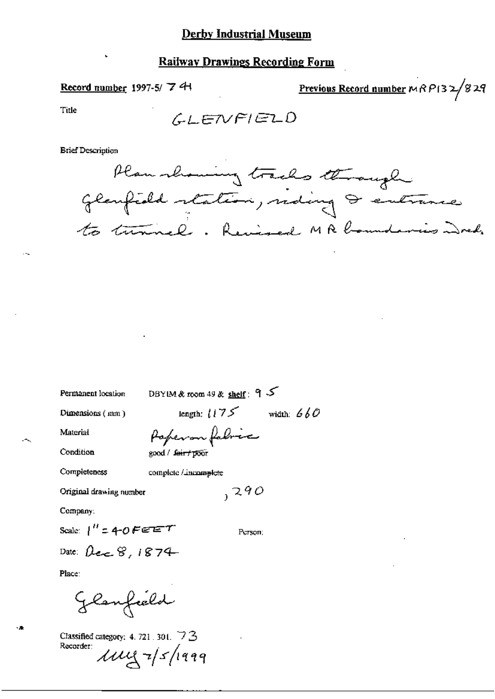#### **Railway Drawings Recording Form**

#### Record number 1997-5/7 <sup>4</sup>

Previous Record number  $MRP$ 132/829

Title

**Brief Description** 



Permanent location

DBYIM & room 49 & shelf: 9

Dimensions (mm)

length:  $1175$  width:  $660$ 

Material

Paperon fabric

Condition

good / feir+poor

Completeness complete / incomplete

Original drawing number

 $290$ 

Company:

Scale:  $\int_0^R 1240$  Ferm

Person:

Date:  $\beta_{\epsilon\epsilon}$   $\gamma$ , 1874

Place:

Glanfield

Classified category: 4, 721, 301,  $\triangledown$  3 Recorder:  $\mu$ uy  $\frac{1}{5}$ /1999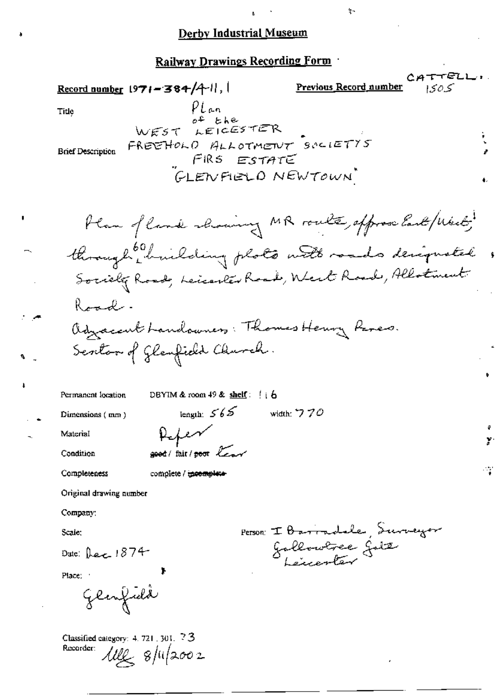处

#### Railway Drawings Recording Form

ELL-Previous Record number Record number  $1971 - 384/4$ . 1505  $PLan$ Title  $o$ <sup>+</sup>  $the$ LEICESTER WEST FREEHOLD ALLOTMENT SOLIETYS **Brief Description** FIRS ESTATE GLENFIELD NEWTOWN Plan of land showing MR route, approve last / West , through initaling plots with roads designated , Society Roads, Leicenter Road, West Roads, Allotment Raadadjacent handowners: Thomas Henry Reves. Sevetor of Glanfield Church. DBYIM & room  $49$  & shelf:  $\begin{pmatrix} 1 & 6 \end{pmatrix}$ Permanent location length:  $565$ width:  $770$ Dimensions (mm) Refer Material good/ fair/poor lear Condition Completeness complete / incomplete Original drawing number Company: Person I Barradale, Surveyor Scale: Gallowere Gitz Date: Dec  $1874$ Place: Glenfield Classified category: 4, 721, 301, 73

Recorder:  $\text{111}_{42}$  8/11/2002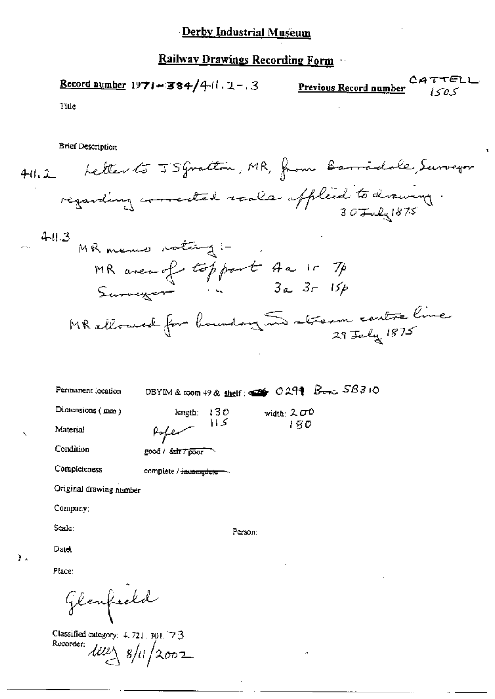Record number 1971-384/4-11.2-3<br>Record number  $2A T T E L$ 

 $\mathbf{r}$ 

Title

**Brief Description** 

|    | 411.2                       |                                                                         |                   | Letter to JS grattin, MR, from Barridole, Surveyor |  |
|----|-----------------------------|-------------------------------------------------------------------------|-------------------|----------------------------------------------------|--|
|    |                             |                                                                         |                   | regarding corrected reals official to drawing.     |  |
|    | 411.3                       | MR menus vating :-                                                      |                   |                                                    |  |
|    |                             | MR avec of topport 4a 15 7p<br>Surveyor "                               |                   |                                                    |  |
|    |                             |                                                                         |                   | MR allowed for boundary In stream contre line      |  |
|    |                             |                                                                         |                   |                                                    |  |
|    | Permanent (ocation          | DBYIM & room 49 & shelf: $\left( \frac{1}{2} \right)$ O 299 Besc. 56310 |                   |                                                    |  |
|    | Dimensions (mm)<br>Material | length:<br>130<br>トメ<br>Poper                                           | width: 200<br>180 |                                                    |  |
|    | Condition                   | good / fair / poor                                                      |                   |                                                    |  |
|    | Completeness                | complete / incomplete                                                   |                   |                                                    |  |
|    | Original drawing number     |                                                                         |                   |                                                    |  |
|    | Company:                    |                                                                         |                   |                                                    |  |
|    | Scale:                      | Person:                                                                 |                   |                                                    |  |
|    | Date:                       |                                                                         |                   |                                                    |  |
| У. | Place:                      |                                                                         |                   |                                                    |  |
|    | Glanfredd                   |                                                                         |                   |                                                    |  |

Classified category: 4.721.301.73<br>Recorder:  $\frac{d\mathcal{U}\ell}{3}$  8/11/2002.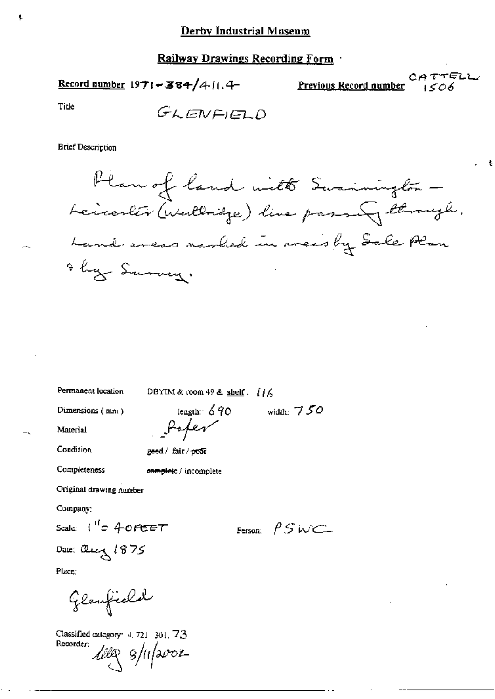Record number  $1971 - 384/411.4$ 

CATTELL Previous Record number 1506

Tide

Ł

$$
G\text{KENFIED}
$$

#### **Brief Description**

Plan of land with Swainington -Leicester (Wallridge) line passing through. Land areas marked in areas by Sale Plan they Survey.

Permanent location

DBYIM & room 49 & shelf:  $[16]$ 

Dimensions (mm)

Iength:  $690$ Poper

width:  $750$ 

Material

Condition

Completeness

good / fair / poor

complete / incomplete

Original drawing number

Company:

Place:

Scale:  $\int_{0}^{1} f(x) dx$ 

Person:  $PSWCD$ 

Date: alecy 1875

Glanfield

Classified category:  $4.721$ ,  $301$ ,  $73$ Recorder: 100g s/11/2002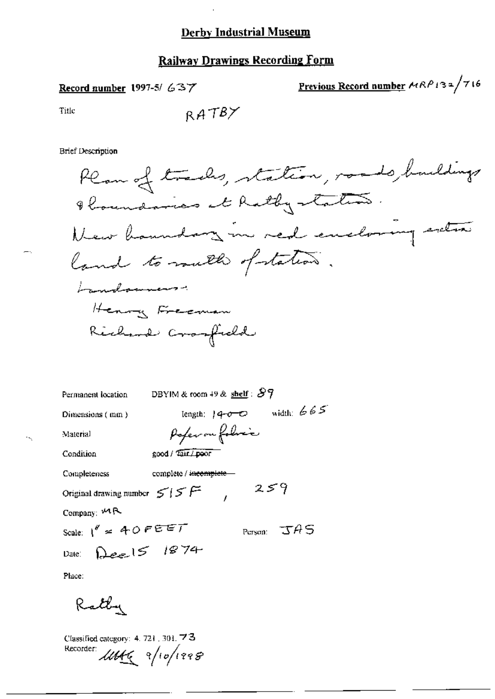# **Railway Drawings Recording Form**

Record number 1997-5/637

Previous Record number  $ARPI32/716$ 

 $\boldsymbol{\mu}$ 

Title

÷.

 $\sim$ 

$$
\mathsf{RATBY}
$$

**Brief Description** 

| Permanent location                                 | DBYIM & room 49 & shelf : $87$ |  |  |  |
|----------------------------------------------------|--------------------------------|--|--|--|
| Dimensions (mm)                                    | width: $665$<br>length: $14-0$ |  |  |  |
| Material                                           | Poper on folice                |  |  |  |
| Condition                                          | good / Tair / poor             |  |  |  |
| Completeness                                       | complete / incomplete          |  |  |  |
| 259<br>Original drawing number $\leq$ $\leq$ $\in$ |                                |  |  |  |
| Company: $M \sim$                                  |                                |  |  |  |
| Scale: $1'' = 40$ FEET                             | Person: $\mathcal{A}S$         |  |  |  |
| Date: Deel5 1874                                   |                                |  |  |  |
|                                                    |                                |  |  |  |

Place:

Rathy

Classified category: 4, 721, 301, 73 Recorder UNK 9/10/1998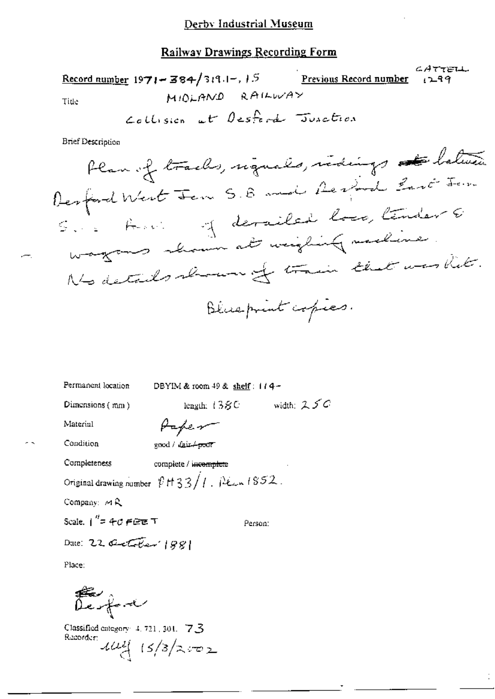CATTELL Record number  $1971 - 384/319.1 - 1.5$ Previous Record number  $129$ MIDLAND RAILWAY Tide Collision at Desford Junction

л

**Brief Description** 

Permanent location

DBYIM & room 49 & shelf: 114-

Dimensions (mm)

length:  $138C$  width:  $25C$ 

Material

Condition

good / fair-+poor

Papen

Completeness complete / incomplete Original drawing number  $\sqrt[p]{H}33/1$ . Pean 1852. Company: MR Scale,  $1'' = 40$   $\in$   $\in$   $\in$  T

Person:

Date: 22 October 1881

Place:

Lesfant

Classified category: 4, 721, 301, 7.3 Recorder  $144/3/2.502$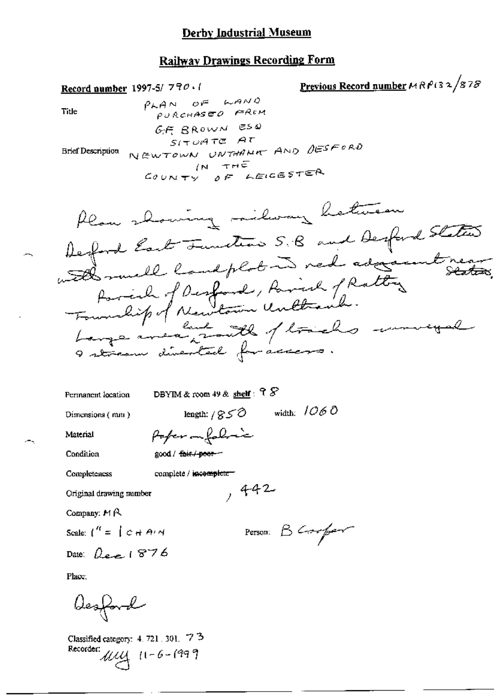<u>Previous Record number</u>  $MRP$ (32/878 Record number 1997-5/770.1  $P<sub>AA</sub>$  of  $R<sub>AA</sub>$ Title PURCHASEO FREM GF BROWN ESQ  $S(T)$ uate At NEWTOWN UNTHANK AND DESFORD **Brief Description**  $IN = THE$ COUNTY OF LEICESTER Plan showing milway hetween Defind East Tunton S.B and Desford States with much landplot in red adjointment Parcial of Desfond, Parish fRatting Large meantail / trichs moneyal DBYIM & room 49 & shelf:  $98$ Permanent location length:  $/850$  width:  $/060$ Dimensions (mm) Poper infoliación Material good / fair / poer-Condition Completeness complete / incomplete  $,442$ Original drawing number Company:  $M \land R$ Person B Compar Scale:  $\int_1^{R} = \int_C C + Ar$  M Date:  $Q_{\text{max}}$  1876 Place: Desford

Classified category: 4, 721, 301, 73  $11 - 6 - 1999$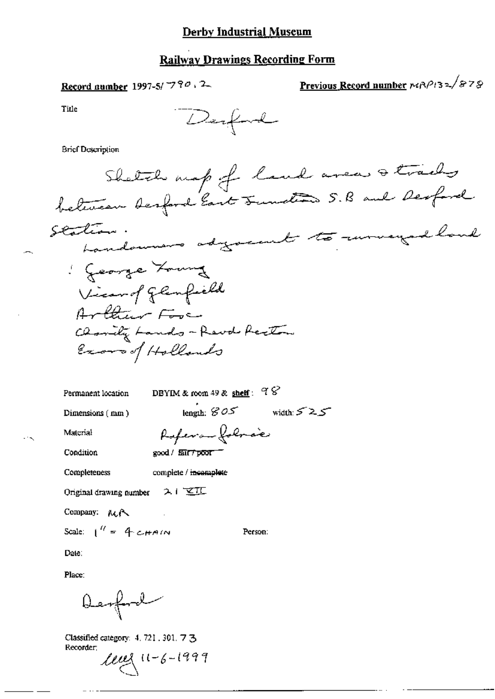### **Railway Drawings Recording Form**

Record number 1997-5/7790, 2

Previous Record number 1412/32/878

Title

**Brief Description** 

length:  $805$  width:  $525$ 

Person:

Permanent location

DBYIM & room 49 & shelf :  $98$ 

Dimensions (mm)

Material

Referance following good / fair / poor

Condition

Completeness complete / incomplete

Original drawing number  $2 + \sqrt{2 + 1}$ 

Company: MR

Scale:  $1^{\prime\prime}$  = 4 cHAIN

Date:

Place:

Derford

Classified category: 4, 721, 301, 7 3 Recorder;

 $l \ell \ell \ell \leq (1-\zeta - 1999)$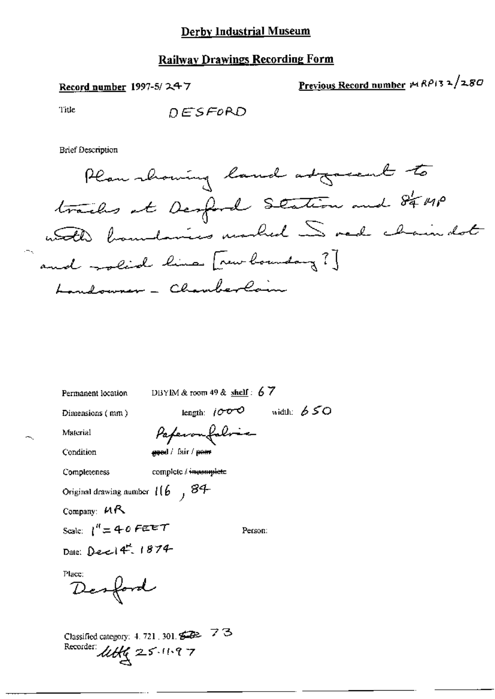Record number 1997-5/247

$$
Previous Record number  $\mu$   $RP$   $32$   $\lambda$   $280$
$$

Title

**Brief Description** 

Plan showing land adgreent to trailes et Desford Station and 84 MP and rolid him [rew boundary ?] Londowner - Chamberlain

Permanent location DBYIM & room 49 & shelf :  $67$ 

Paperonfolose

Dimensions (mm)

length:  $1000$  width:  $650$ 

Material Condition

good / fair / poer

Completeness complete / incomplete

Original drawing number  $116$ ,  $84$ 

Company:  $MR$ 

Scale:  $1^{n} = 40$  FEET

Person:

Date: Dec 14" 1874

Place:

Desford

Classified category: 4, 721, 301,  $\mathcal{L} \rightarrow$  7  $\mathcal{L}$ Recorder:  $\mathcal{U}\mathcal{H}\mathcal{C}$  25.11.97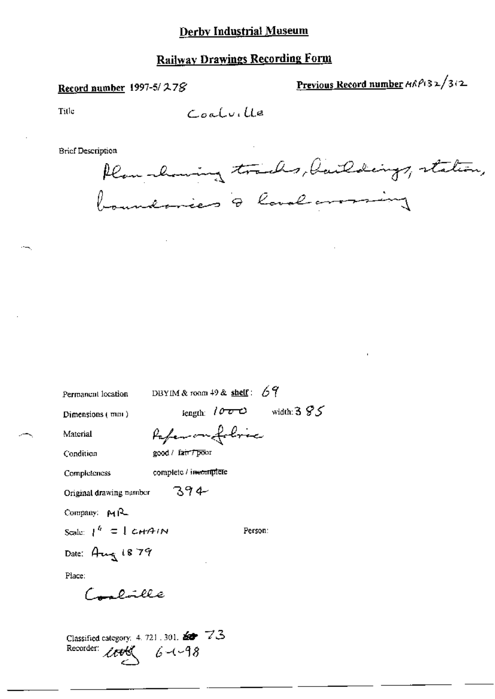# **Railway Drawings Recording Form**

#### Record number 1997-5/278

Previous Record number HRPI32/312

Title

Coolville

**Brief Description** 

Plan channing tracks, Daildings, station, boundaries & land arounding

| Permanent location                                                                        |                       | DBYIM & room 49 & shelf: $69$ |  |  |
|-------------------------------------------------------------------------------------------|-----------------------|-------------------------------|--|--|
| Dimensions (mm)                                                                           |                       | length: $1000$ width: $395$   |  |  |
| Material                                                                                  | Pafer on folore       |                               |  |  |
| Condition                                                                                 | good / fair / poor    |                               |  |  |
| Completeness                                                                              | complete / incomplete |                               |  |  |
| Original drawing number                                                                   | 394                   |                               |  |  |
| Company: $M_{\text{N}}$                                                                   |                       |                               |  |  |
| Scale: $1^h = 1$ CHAIN                                                                    |                       | Person:                       |  |  |
| Date: Aug 1879                                                                            |                       |                               |  |  |
| Place:                                                                                    |                       |                               |  |  |
| Combille                                                                                  |                       |                               |  |  |
| Classified category: 4, 721, 301, $\mathbf{z} \rightarrow 73$<br>Recorder: $200\%$ 6-1-98 |                       |                               |  |  |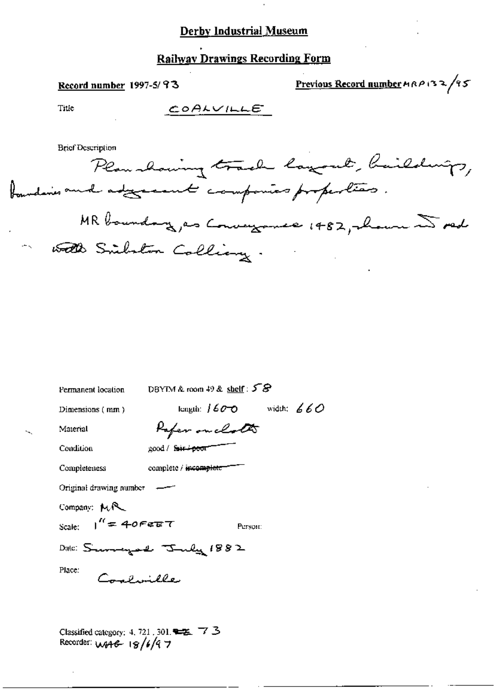**Railway Drawings Recording Form** 

#### Record number 1997-5/93

Previous Record number  $A \wedge B \vee B \vee C$ 

Title

 $COALVILLET$ 

**Brief Description** 

Plan having track layout, baildings, foundaries and adjunctional component properties. MR boundary, as Conveyance 1482, whom is red with Silston Colling.

| DBYTM & room $49$ & shelf: $58$<br>Permanent location |                       |                             |  |  |  |
|-------------------------------------------------------|-----------------------|-----------------------------|--|--|--|
| Dimensions (mm)                                       |                       | length: $1600$ width: $660$ |  |  |  |
| Material                                              | Paper on clots        |                             |  |  |  |
| Condition                                             | good / fair+poor      |                             |  |  |  |
| Completeness                                          | complete / incomplete |                             |  |  |  |
| Original drawing number                               |                       |                             |  |  |  |
| Company: MR                                           |                       |                             |  |  |  |
| Scale: $1'' = 40$ Fere T                              |                       | Person:                     |  |  |  |
| Date: Summergund Truly 1882                           |                       |                             |  |  |  |
| Place.<br>Composible                                  |                       |                             |  |  |  |
|                                                       |                       |                             |  |  |  |

Classified category: 4, 721, 301,  $\blacktriangleright$  7 3 Recorder:  $w_446 - 18/6/9$  7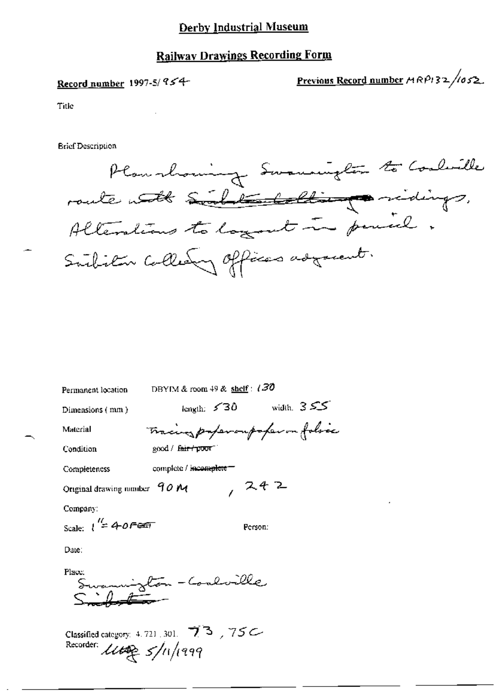## **Railway Drawings Recording Form**

### Record number 1997-5/ 954-

Previous Record number  $A \cap B$  32/052.

Title

**Brief Description** 

Plan showing Swamnights to Coolwille route with Sind the latter particips, Alterations to layout in period. Subitor Collegy offices adjacent.

| Permanent location             | DBYIM & room 49 & shelf: $(30$ |                                 |
|--------------------------------|--------------------------------|---------------------------------|
| Dimensions (mm)                | length: $530$                  | width, $355$                    |
| Material                       |                                | Tracing paper outofer on folses |
| Condition                      | good / fair poor               |                                 |
| Completeness                   | complete / incomplete          |                                 |
| Original drawing number $90 M$ |                                | , 242                           |
| Company:                       |                                |                                 |
| Scale: $1'' = 40$ Fest         |                                | Person:                         |
|                                |                                |                                 |

Date:

Place: ylon - Conluille

Classified category: 4.721, 301. 73, 75C Recorder:  $\mathcal{U}\rightarrow\mathcal{S}/\mathfrak{n}/\mathfrak{p}$ 99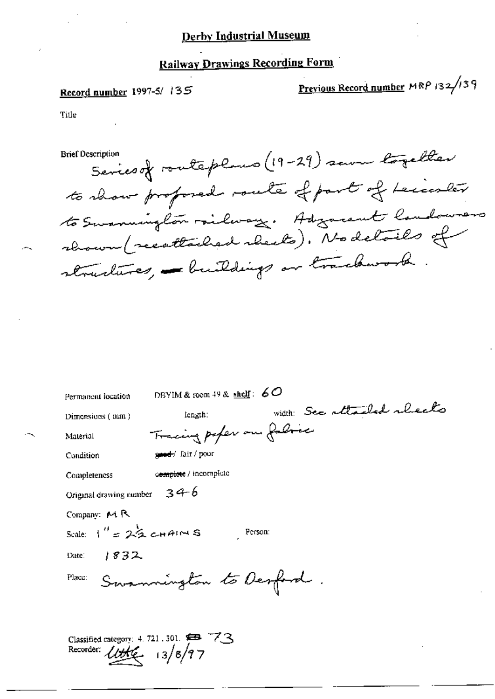# Railway Drawings Recording Form

### Record number 1997-5/135

Recorder:  $l$ ttt $\epsilon$  13/8/97

Previous Record number MRP 132/139

Title

Series of routeplans (19-29) same together **Brief Description** to show profosed route of part of Leicester to Summington railway. Adjacent landowners rhown (recattached rheets). No details of structures, - buildings or trackwork

| Permanent location       | DBYIM & room 49 & shelf: $60$                                  |  |                             |  |
|--------------------------|----------------------------------------------------------------|--|-----------------------------|--|
| Dimensions (mm)          | length:                                                        |  | width: See attached alreals |  |
| Material                 | Tracing paper on fabric                                        |  |                             |  |
| Condition                | good / lair / pour                                             |  |                             |  |
| Completeness             | complete / incomplete                                          |  |                             |  |
| Original drawing number  | $34-6$                                                         |  |                             |  |
| Company: $M R$           |                                                                |  |                             |  |
| Scale: $1'' = 22$ chairs | Person:                                                        |  |                             |  |
| 1832<br>Date:            |                                                                |  |                             |  |
| Place:                   | Summington to Desfand.                                         |  |                             |  |
|                          |                                                                |  |                             |  |
|                          | Classified entangers: $4.721 \pm 0.1$ $\overline{553} \pm 7.3$ |  |                             |  |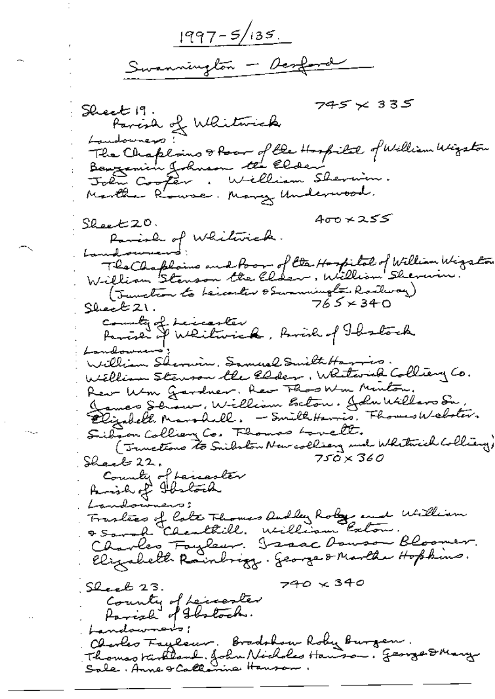$1997 - 5/135$ Swannington - Desfand

745 × 335  $S$ heeb 19. Parish of Whitmick Landowners: The Chaploins of four of the Hospital of William Wizston Benzamin Johnson the Elder John Cooper, William Shermin. Martha Rowse, Many Underwood. ∕400 × 25 ، 20 تاسعىقلا Parish of Whiterick. Landbourner': The Chaplains and Poor of the Hospital of William Wigston William Stenson the Elder, William Shern (Junction to beicester obwarmington Rockway)  $765 \times 340$ Sheek 21. county of Leicenter Parcia I Weilwick, Rivid of Thatock Landownens' William Shermin, Samuel Suilth Harring. William Stewson the Elder, Whitwick Colliery Co. Rew Wm Gardner. Rew Those Min Minton. James Schow, William Beton. John Willard Su. Elizabeth Marshall. - SmithHarris. Fhomes Webster. Sibian Colliery Co. Fhomas Lovelt. (Truetions to Suibston New colling and Whitnich Colliany)  $750\times360$ Shack 22, Country of Lancaster Parish of Ibelock Traslees of late Thomas Andley Roley and William & Sarah "Charletill. William Exton. Charles Faylow. Isaac Dowson Bloom Elizabeth Rainbrizz. George & Marthe Hopkins.  $740 \times 340$ Sleeb 23. County of Leccenter Parish of Shotoch. bandownents; Charles Fayleur. Bradshow Roby Burgen. Thomas turkland. John Nicholes Handson. George DMary